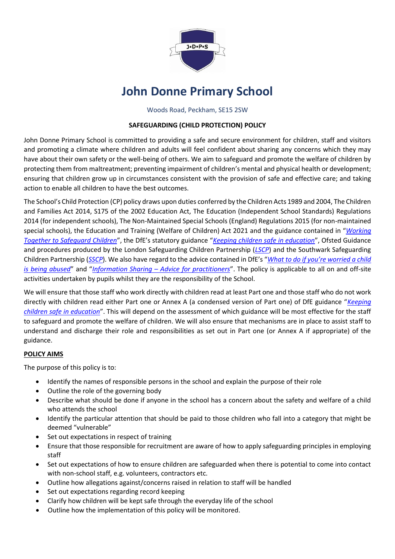

# **John Donne Primary School**

## Woods Road, Peckham, SE15 2SW

## **SAFEGUARDING (CHILD PROTECTION) POLICY**

John Donne Primary School is committed to providing a safe and secure environment for children, staff and visitors and promoting a climate where children and adults will feel confident about sharing any concerns which they may have about their own safety or the well-being of others. We aim to safeguard and promote the welfare of children by protecting them from maltreatment; preventing impairment of children's mental and physical health or development; ensuring that children grow up in circumstances consistent with the provision of safe and effective care; and taking action to enable all children to have the best outcomes.

The School's Child Protection (CP) policy draws upon duties conferred by the Children Acts 1989 and 2004, The Children and Families Act 2014, S175 of the 2002 Education Act, The Education (Independent School Standards) Regulations 2014 (for independent schools), The Non-Maintained Special Schools (England) Regulations 2015 (for non-maintained special schools), the Education and Training (Welfare of Children) Act 2021 and the guidance contained in "*[Working](https://www.gov.uk/government/publications/working-together-to-safeguard-children--2)  [Together to Safeguard Children](https://www.gov.uk/government/publications/working-together-to-safeguard-children--2)*", the DfE's statutory guidance "*[Keeping children safe in education](https://www.gov.uk/government/publications/keeping-children-safe-in-education--2)*", Ofsted Guidance and procedures produced by the London Safeguarding Children Partnership (*[LSCP](http://www.londonscb.gov.uk/)*) and the Southwark Safeguarding Children Partnership (*[SSCP](http://safeguarding.southwark.gov.uk/southwark-safeguarding-board/sscp/)*). We also have regard to the advice contained in DfE's "*[What to do if you're worried a child](https://www.gov.uk/government/publications/what-to-do-if-youre-worried-a-child-is-being-abused--2)  [is being abused](https://www.gov.uk/government/publications/what-to-do-if-youre-worried-a-child-is-being-abused--2)*" and "*Information Sharing – [Advice for practitioners](https://www.gov.uk/government/publications/safeguarding-practitioners-information-sharing-advice)*". The policy is applicable to all on and off-site activities undertaken by pupils whilst they are the responsibility of the School.

We will ensure that those staff who work directly with children read at least Part one and those staff who do not work directly with children read either Part one or Annex A (a condensed version of Part one) of DfE guidance "*[Keeping](https://www.gov.uk/government/publications/keeping-children-safe-in-education--2)  [children safe in education](https://www.gov.uk/government/publications/keeping-children-safe-in-education--2)*". This will depend on the assessment of which guidance will be most effective for the staff to safeguard and promote the welfare of children. We will also ensure that mechanisms are in place to assist staff to understand and discharge their role and responsibilities as set out in Part one (or Annex A if appropriate) of the guidance.

# **POLICY AIMS**

The purpose of this policy is to:

- Identify the names of responsible persons in the school and explain the purpose of their role
- Outline the role of the governing body
- Describe what should be done if anyone in the school has a concern about the safety and welfare of a child who attends the school
- Identify the particular attention that should be paid to those children who fall into a category that might be deemed "vulnerable"
- Set out expectations in respect of training
- Ensure that those responsible for recruitment are aware of how to apply safeguarding principles in employing staff
- Set out expectations of how to ensure children are safeguarded when there is potential to come into contact with non-school staff, e.g. volunteers, contractors etc.
- Outline how allegations against/concerns raised in relation to staff will be handled
- Set out expectations regarding record keeping
- Clarify how children will be kept safe through the everyday life of the school
- Outline how the implementation of this policy will be monitored.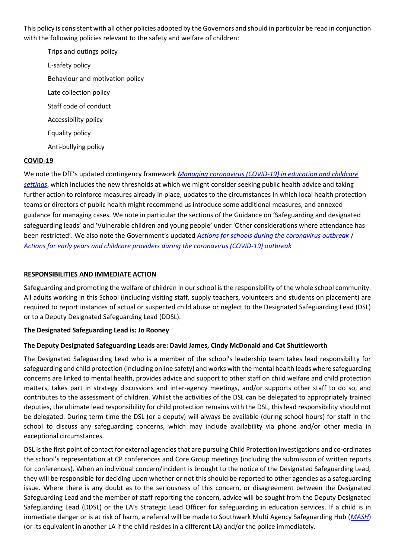This policy is consistent with all other policies adopted by the Governors and should in particular be read in conjunction with the following policies relevant to the safety and welfare of children:

Trips and outings policy E-safety policy Behaviour and motivation policy Late collection policy Staff code of conduct Accessibility policy Equality policy Anti-bullying policy

# **COVID-19**

We note the DfE's updated contingency framework *[Managing coronavirus \(COVID-19\) in education and childcare](https://www.gov.uk/government/publications/coronavirus-covid-19-local-restrictions-in-education-and-childcare-settings?utm_medium=email&utm_campaign=govuk-notifications&utm_source=f75efe81-efb1-40ab-bae6-f57a074b6f05&utm_content=daily)  [settings](https://www.gov.uk/government/publications/coronavirus-covid-19-local-restrictions-in-education-and-childcare-settings?utm_medium=email&utm_campaign=govuk-notifications&utm_source=f75efe81-efb1-40ab-bae6-f57a074b6f05&utm_content=daily)*, which includes the new thresholds at which we might consider seeking public health advice and taking further action to reinforce measures already in place, updates to the circumstances in which local health protection teams or directors of public health might recommend us introduce some additional measures, and annexed guidance for managing cases. We note in particular the sections of the Guidance on 'Safeguarding and designated safeguarding leads' and 'Vulnerable children and young people' under 'Other considerations where attendance has been restricted'. We also note the Government's updated *[Actions for schools during the coronavirus outbreak](https://www.gov.uk/government/publications/actions-for-schools-during-the-coronavirus-outbreak?utm_medium=email&utm_campaign=govuk-notifications&utm_source=ae0d31a3-dbde-4cbf-91b2-2ed48dd33915&utm_content=daily)* / *[Actions for early years and childcare providers during](https://www.gov.uk/government/publications/coronavirus-covid-19-early-years-and-childcare-closures/coronavirus-covid-19-early-years-and-childcare-closures#safeguarding-and-welfare) the coronavirus (COVID-19) outbreak*

## **RESPONSIBILITIES AND IMMEDIATE ACTION**

Safeguarding and promoting the welfare of children in our school is the responsibility of the whole school community. All adults working in this School (including visiting staff, supply teachers, volunteers and students on placement) are required to report instances of actual or suspected child abuse or neglect to the Designated Safeguarding Lead (DSL) or to a Deputy Designated Safeguarding Lead (DDSL).

# **The Designated Safeguarding Lead is: Jo Rooney**

# **The Deputy Designated Safeguarding Leads are: David James, Cindy McDonald and Cat Shuttleworth**

The Designated Safeguarding Lead who is a member of the school's leadership team takes lead responsibility for safeguarding and child protection (including online safety) and works with the mental health leads where safeguarding concerns are linked to mental health, provides advice and support to other staff on child welfare and child protection matters, takes part in strategy discussions and inter-agency meetings, and/or supports other staff to do so, and contributes to the assessment of children. Whilst the activities of the DSL can be delegated to appropriately trained deputies, the ultimate lead responsibility for child protection remains with the DSL, this lead responsibility should not be delegated. During term time the DSL (or a deputy) will always be available (during school hours) for staff in the school to discuss any safeguarding concerns, which may include availability via phone and/or other media in exceptional circumstances.

DSL is the first point of contact for external agencies that are pursuing Child Protection investigations and co-ordinates the school's representation at CP conferences and Core Group meetings (including the submission of written reports for conferences). When an individual concern/incident is brought to the notice of the Designated Safeguarding Lead, they will be responsible for deciding upon whether or not this should be reported to other agencies as a safeguarding issue. Where there is any doubt as to the seriousness of this concern, or disagreement between the Designated Safeguarding Lead and the member of staff reporting the concern, advice will be sought from the Deputy Designated Safeguarding Lead (DDSL) or the LA's Strategic Lead Officer for safeguarding in education services. If a child is in immediate danger or is at risk of harm, a referral will be made to Southwark Multi Agency Safeguarding Hub (*[MASH](https://www.southwark.gov.uk/childcare-and-parenting/children-s-social-care/child-protection/multi-agency-safeguarding-hub-mash)*) (or its equivalent in another LA if the child resides in a different LA) and/or the police immediately.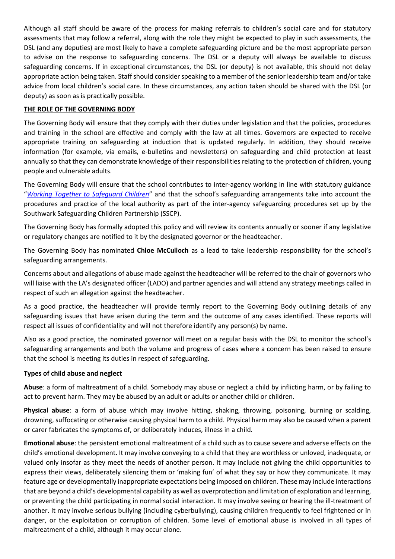Although all staff should be aware of the process for making referrals to children's social care and for statutory assessments that may follow a referral, along with the role they might be expected to play in such assessments, the DSL (and any deputies) are most likely to have a complete safeguarding picture and be the most appropriate person to advise on the response to safeguarding concerns. The DSL or a deputy will always be available to discuss safeguarding concerns. If in exceptional circumstances, the DSL (or deputy) is not available, this should not delay appropriate action being taken. Staff should consider speaking to a member of the senior leadership team and/or take advice from local children's social care. In these circumstances, any action taken should be shared with the DSL (or deputy) as soon as is practically possible.

## **THE ROLE OF THE GOVERNING BODY**

The Governing Body will ensure that they comply with their duties under legislation and that the policies, procedures and training in the school are effective and comply with the law at all times. Governors are expected to receive appropriate training on safeguarding at induction that is updated regularly. In addition, they should receive information (for example, via emails, e-bulletins and newsletters) on safeguarding and child protection at least annually so that they can demonstrate knowledge of their responsibilities relating to the protection of children, young people and vulnerable adults.

The Governing Body will ensure that the school contributes to inter-agency working in line with statutory guidance "*[Working Together to Safeguard Children](https://www.gov.uk/government/publications/working-together-to-safeguard-children--2)*" and that the school's safeguarding arrangements take into account the procedures and practice of the local authority as part of the inter-agency safeguarding procedures set up by the Southwark Safeguarding Children Partnership (SSCP).

The Governing Body has formally adopted this policy and will review its contents annually or sooner if any legislative or regulatory changes are notified to it by the designated governor or the headteacher.

The Governing Body has nominated **Chloe McCulloch** as a lead to take leadership responsibility for the school's safeguarding arrangements.

Concerns about and allegations of abuse made against the headteacher will be referred to the chair of governors who will liaise with the LA's designated officer (LADO) and partner agencies and will attend any strategy meetings called in respect of such an allegation against the headteacher.

As a good practice, the headteacher will provide termly report to the Governing Body outlining details of any safeguarding issues that have arisen during the term and the outcome of any cases identified. These reports will respect all issues of confidentiality and will not therefore identify any person(s) by name.

Also as a good practice, the nominated governor will meet on a regular basis with the DSL to monitor the school's safeguarding arrangements and both the volume and progress of cases where a concern has been raised to ensure that the school is meeting its duties in respect of safeguarding.

#### **Types of child abuse and neglect**

**Abuse**: a form of maltreatment of a child. Somebody may abuse or neglect a child by inflicting harm, or by failing to act to prevent harm. They may be abused by an adult or adults or another child or children.

**Physical abuse**: a form of abuse which may involve hitting, shaking, throwing, poisoning, burning or scalding, drowning, suffocating or otherwise causing physical harm to a child. Physical harm may also be caused when a parent or carer fabricates the symptoms of, or deliberately induces, illness in a child.

**Emotional abuse**: the persistent emotional maltreatment of a child such as to cause severe and adverse effects on the child's emotional development. It may involve conveying to a child that they are worthless or unloved, inadequate, or valued only insofar as they meet the needs of another person. It may include not giving the child opportunities to express their views, deliberately silencing them or 'making fun' of what they say or how they communicate. It may feature age or developmentally inappropriate expectations being imposed on children. These may include interactions that are beyond a child's developmental capability as well as overprotection and limitation of exploration and learning, or preventing the child participating in normal social interaction. It may involve seeing or hearing the ill-treatment of another. It may involve serious bullying (including cyberbullying), causing children frequently to feel frightened or in danger, or the exploitation or corruption of children. Some level of emotional abuse is involved in all types of maltreatment of a child, although it may occur alone.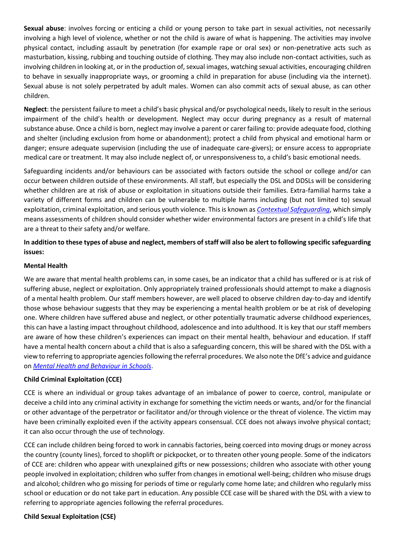**Sexual abuse**: involves forcing or enticing a child or young person to take part in sexual activities, not necessarily involving a high level of violence, whether or not the child is aware of what is happening. The activities may involve physical contact, including assault by penetration (for example rape or oral sex) or non-penetrative acts such as masturbation, kissing, rubbing and touching outside of clothing. They may also include non-contact activities, such as involving children in looking at, or in the production of, sexual images, watching sexual activities, encouraging children to behave in sexually inappropriate ways, or grooming a child in preparation for abuse (including via the internet). Sexual abuse is not solely perpetrated by adult males. Women can also commit acts of sexual abuse, as can other children.

**Neglect**: the persistent failure to meet a child's basic physical and/or psychological needs, likely to result in the serious impairment of the child's health or development. Neglect may occur during pregnancy as a result of maternal substance abuse. Once a child is born, neglect may involve a parent or carer failing to: provide adequate food, clothing and shelter (including exclusion from home or abandonment); protect a child from physical and emotional harm or danger; ensure adequate supervision (including the use of inadequate care-givers); or ensure access to appropriate medical care or treatment. It may also include neglect of, or unresponsiveness to, a child's basic emotional needs.

Safeguarding incidents and/or behaviours can be associated with factors outside the school or college and/or can occur between children outside of these environments. All staff, but especially the DSL and DDSLs will be considering whether children are at risk of abuse or exploitation in situations outside their families. Extra-familial harms take a variety of different forms and children can be vulnerable to multiple harms including (but not limited to) sexual exploitation, criminal exploitation, and serious youth violence. This is known as *[Contextual Safeguarding](https://contextualsafeguarding.org.uk/)*, which simply means assessments of children should consider whether wider environmental factors are present in a child's life that are a threat to their safety and/or welfare.

# **In addition to these types of abuse and neglect, members of staff will also be alert to following specific safeguarding issues:**

# **Mental Health**

We are aware that mental health problems can, in some cases, be an indicator that a child has suffered or is at risk of suffering abuse, neglect or exploitation. Only appropriately trained professionals should attempt to make a diagnosis of a mental health problem. Our staff members however, are well placed to observe children day-to-day and identify those whose behaviour suggests that they may be experiencing a mental health problem or be at risk of developing one. Where children have suffered abuse and neglect, or other potentially traumatic adverse childhood experiences, this can have a lasting impact throughout childhood, adolescence and into adulthood. It is key that our staff members are aware of how these children's experiences can impact on their mental health, behaviour and education. If staff have a mental health concern about a child that is also a safeguarding concern, this will be shared with the DSL with a view to referring to appropriate agencies following the referral procedures. We also note the DfE's advice and guidance on *[Mental Health and Behaviour in Schools](https://www.gov.uk/government/publications/mental-health-and-behaviour-in-schools--2)*.

# **Child Criminal Exploitation (CCE)**

CCE is where an individual or group takes advantage of an imbalance of power to coerce, control, manipulate or deceive a child into any criminal activity in exchange for something the victim needs or wants, and/or for the financial or other advantage of the perpetrator or facilitator and/or through violence or the threat of violence. The victim may have been criminally exploited even if the activity appears consensual. CCE does not always involve physical contact; it can also occur through the use of technology.

CCE can include children being forced to work in cannabis factories, being coerced into moving drugs or money across the country (county lines), forced to shoplift or pickpocket, or to threaten other young people. Some of the indicators of CCE are: children who appear with unexplained gifts or new possessions; children who associate with other young people involved in exploitation; children who suffer from changes in emotional well-being; children who misuse drugs and alcohol; children who go missing for periods of time or regularly come home late; and children who regularly miss school or education or do not take part in education. Any possible CCE case will be shared with the DSL with a view to referring to appropriate agencies following the referral procedures.

# **Child Sexual Exploitation (CSE)**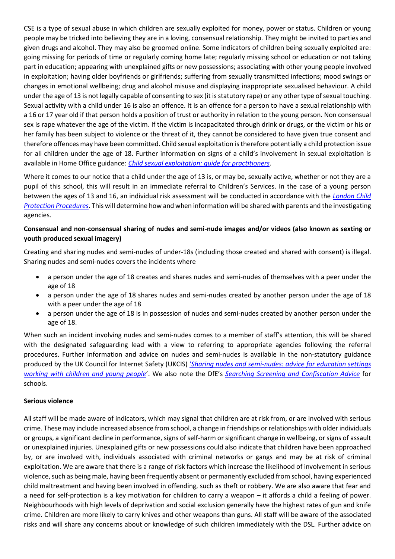CSE is a type of sexual abuse in which children are sexually exploited for money, power or status. Children or young people may be tricked into believing they are in a loving, consensual relationship. They might be invited to parties and given drugs and alcohol. They may also be groomed online. Some indicators of children being sexually exploited are: going missing for periods of time or regularly coming home late; regularly missing school or education or not taking part in education; appearing with unexplained gifts or new possessions; associating with other young people involved in exploitation; having older boyfriends or girlfriends; suffering from sexually transmitted infections; mood swings or changes in emotional wellbeing; drug and alcohol misuse and displaying inappropriate sexualised behaviour. A child under the age of 13 is not legally capable of consenting to sex (it is statutory rape) or any other type of sexual touching. Sexual activity with a child under 16 is also an offence. It is an offence for a person to have a sexual relationship with a 16 or 17 year old if that person holds a position of trust or authority in relation to the young person. Non consensual sex is rape whatever the age of the victim. If the victim is incapacitated through drink or drugs, or the victim or his or her family has been subject to violence or the threat of it, they cannot be considered to have given true consent and therefore offences may have been committed. Child sexual exploitation is therefore potentially a child protection issue for all children under the age of 18. Further information on signs of a child's involvement in sexual exploitation is available in Home Office guidance: *[Child sexual exploitation: guide for practitioners](https://www.gov.uk/government/publications/child-sexual-exploitation-definition-and-guide-for-practitioners)*.

Where it comes to our notice that a child under the age of 13 is, or may be, sexually active, whether or not they are a pupil of this school, this will result in an immediate referral to Children's Services. In the case of a young person between the ages of 13 and 16, an individual risk assessment will be conducted in accordance with the *[London Child](http://www.londoncp.co.uk/index.html)  [Protection Procedures](http://www.londoncp.co.uk/index.html)*. This will determine how and when information will be shared with parents and the investigating agencies.

# **Consensual and non-consensual sharing of nudes and semi-nude images and/or videos (also known as sexting or youth produced sexual imagery)**

Creating and sharing nudes and semi-nudes of under-18s (including those created and shared with consent) is illegal. Sharing nudes and semi-nudes covers the incidents where

- a person under the age of 18 creates and shares nudes and semi-nudes of themselves with a peer under the age of 18
- a person under the age of 18 shares nudes and semi-nudes created by another person under the age of 18 with a peer under the age of 18
- a person under the age of 18 is in possession of nudes and semi-nudes created by another person under the age of 18.

When such an incident involving nudes and semi-nudes comes to a member of staff's attention, this will be shared with the designated safeguarding lead with a view to referring to appropriate agencies following the referral procedures. Further information and advice on nudes and semi-nudes is available in the non-statutory guidance produced by the UK Council for Internet Safety (UKCIS) '*[Sharing nudes and semi-nudes: advice for education settings](https://www.gov.uk/government/uploads/system/uploads/attachment_data/file/609874/6_2939_SP_NCA_Sexting_In_Schools_FINAL_Update_Jan17.pdf)  [working with children and young people](https://www.gov.uk/government/uploads/system/uploads/attachment_data/file/609874/6_2939_SP_NCA_Sexting_In_Schools_FINAL_Update_Jan17.pdf)*'. We also note the DfE's *[Searching Screening and Confiscation Advice](https://www.gov.uk/government/publications/searching-screening-and-confiscation)* for schools.

# **Serious violence**

All staff will be made aware of indicators, which may signal that children are at risk from, or are involved with serious crime. These may include increased absence from school, a change in friendships or relationships with older individuals or groups, a significant decline in performance, signs of self-harm or significant change in wellbeing, or signs of assault or unexplained injuries. Unexplained gifts or new possessions could also indicate that children have been approached by, or are involved with, individuals associated with criminal networks or gangs and may be at risk of criminal exploitation. We are aware that there is a range of risk factors which increase the likelihood of involvement in serious violence, such as being male, having been frequently absent or permanently excluded from school, having experienced child maltreatment and having been involved in offending, such as theft or robbery. We are also aware that fear and a need for self-protection is a key motivation for children to carry a weapon – it affords a child a feeling of power. Neighbourhoods with high levels of deprivation and social exclusion generally have the highest rates of gun and knife crime. Children are more likely to carry knives and other weapons than guns. All staff will be aware of the associated risks and will share any concerns about or knowledge of such children immediately with the DSL. Further advice on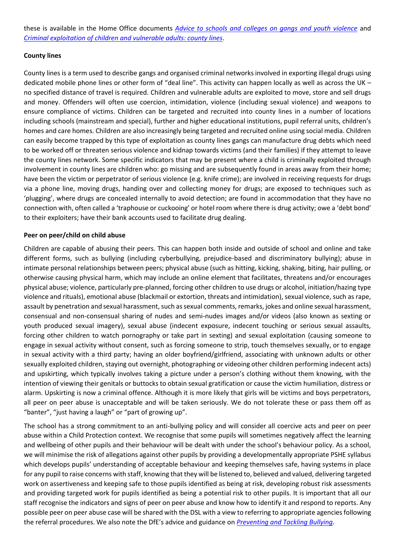these is available in the Home Office documents *[Advice to schools and colleges on gangs and youth violence](https://www.gov.uk/government/publications/advice-to-schools-and-colleges-on-gangs-and-youth-violence)* and *[Criminal exploitation of children and vulnerable adults: county lines](https://www.gov.uk/government/publications/criminal-exploitation-of-children-and-vulnerable-adults-county-lines)*.

# **County lines**

County lines is a term used to describe gangs and organised criminal networks involved in exporting illegal drugs using dedicated mobile phone lines or other form of "deal line". This activity can happen locally as well as across the UK – no specified distance of travel is required. Children and vulnerable adults are exploited to move, store and sell drugs and money. Offenders will often use coercion, intimidation, violence (including sexual violence) and weapons to ensure compliance of victims. Children can be targeted and recruited into county lines in a number of locations including schools (mainstream and special), further and higher educational institutions, pupil referral units, children's homes and care homes. Children are also increasingly being targeted and recruited online using social media. Children can easily become trapped by this type of exploitation as county lines gangs can manufacture drug debts which need to be worked off or threaten serious violence and kidnap towards victims (and their families) if they attempt to leave the county lines network. Some specific indicators that may be present where a child is criminally exploited through involvement in county lines are children who: go missing and are subsequently found in areas away from their home; have been the victim or perpetrator of serious violence (e.g. knife crime); are involved in receiving requests for drugs via a phone line, moving drugs, handing over and collecting money for drugs; are exposed to techniques such as 'plugging', where drugs are concealed internally to avoid detection; are found in accommodation that they have no connection with, often called a 'traphouse or cuckooing' or hotel room where there is drug activity; owe a 'debt bond' to their exploiters; have their bank accounts used to facilitate drug dealing.

# **Peer on peer/child on child abuse**

Children are capable of abusing their peers. This can happen both inside and outside of school and online and take different forms, such as bullying (including cyberbullying, prejudice-based and discriminatory bullying); abuse in intimate personal relationships between peers; physical abuse (such as hitting, kicking, shaking, biting, hair pulling, or otherwise causing physical harm, which may include an online element that facilitates, threatens and/or encourages physical abuse; violence, particularly pre-planned, forcing other children to use drugs or alcohol, initiation/hazing type violence and rituals), emotional abuse (blackmail or extortion, threats and intimidation), sexual violence, such as rape, assault by penetration and sexual harassment, such as sexual comments, remarks, jokes and online sexual harassment, consensual and non-consensual sharing of nudes and semi-nudes images and/or videos (also known as sexting or youth produced sexual imagery), sexual abuse (indecent exposure, indecent touching or serious sexual assaults, forcing other children to watch pornography or take part in sexting) and sexual exploitation (causing someone to engage in sexual activity without consent, such as forcing someone to strip, touch themselves sexually, or to engage in sexual activity with a third party; having an older boyfriend/girlfriend, associating with unknown adults or other sexually exploited children, staying out overnight, photographing or videoing other children performing indecent acts) and upskirting, which typically involves taking a picture under a person's clothing without them knowing, with the intention of viewing their genitals or buttocks to obtain sexual gratification or cause the victim humiliation, distress or alarm. Upskirting is now a criminal offence. Although it is more likely that girls will be victims and boys perpetrators, all peer on peer abuse is unacceptable and will be taken seriously. We do not tolerate these or pass them off as "banter", "just having a laugh" or "part of growing up".

The school has a strong commitment to an anti-bullying policy and will consider all coercive acts and peer on peer abuse within a Child Protection context. We recognise that some pupils will sometimes negatively affect the learning and wellbeing of other pupils and their behaviour will be dealt with under the school's behaviour policy. As a school, we will minimise the risk of allegations against other pupils by providing a developmentally appropriate PSHE syllabus which develops pupils' understanding of acceptable behaviour and keeping themselves safe, having systems in place for any pupil to raise concerns with staff, knowing that they will be listened to, believed and valued, delivering targeted work on assertiveness and keeping safe to those pupils identified as being at risk, developing robust risk assessments and providing targeted work for pupils identified as being a potential risk to other pupils. It is important that all our staff recognise the indicators and signs of peer on peer abuse and know how to identify it and respond to reports. Any possible peer on peer abuse case will be shared with the DSL with a view to referring to appropriate agencies following the referral procedures. We also note the DfE's advice and guidance on *[Preventing and Tackling Bullying.](https://www.gov.uk/government/publications/preventing-and-tackling-bullying)*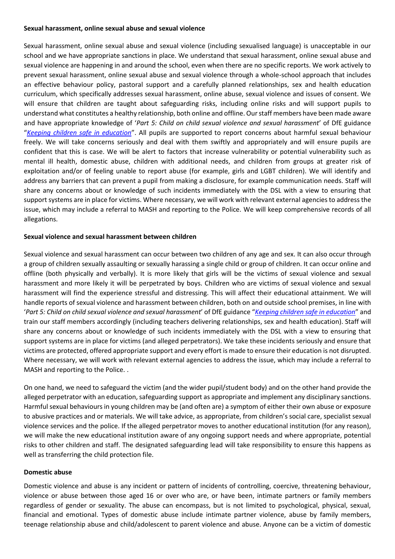#### **Sexual harassment, online sexual abuse and sexual violence**

Sexual harassment, online sexual abuse and sexual violence (including sexualised language) is unacceptable in our school and we have appropriate sanctions in place. We understand that sexual harassment, online sexual abuse and sexual violence are happening in and around the school, even when there are no specific reports. We work actively to prevent sexual harassment, online sexual abuse and sexual violence through a whole-school approach that includes an effective behaviour policy, pastoral support and a carefully planned relationships, sex and health education curriculum, which specifically addresses sexual harassment, online abuse, sexual violence and issues of consent. We will ensure that children are taught about safeguarding risks, including online risks and will support pupils to understand what constitutes a healthy relationship, both online and offline. Our staff members have been made aware and have appropriate knowledge of '*Part 5: Child on child sexual violence and sexual harassment*' of DfE guidance "*[Keeping children safe in education](https://www.gov.uk/government/publications/keeping-children-safe-in-education--2)*". All pupils are supported to report concerns about harmful sexual behaviour freely. We will take concerns seriously and deal with them swiftly and appropriately and will ensure pupils are confident that this is case. We will be alert to factors that increase vulnerability or potential vulnerability such as mental ill health, domestic abuse, children with additional needs, and children from groups at greater risk of exploitation and/or of feeling unable to report abuse (for example, girls and LGBT children). We will identify and address any barriers that can prevent a pupil from making a disclosure, for example communication needs. Staff will share any concerns about or knowledge of such incidents immediately with the DSL with a view to ensuring that support systems are in place for victims. Where necessary, we will work with relevant external agencies to address the issue, which may include a referral to MASH and reporting to the Police. We will keep comprehensive records of all allegations.

#### **Sexual violence and sexual harassment between children**

Sexual violence and sexual harassment can occur between two children of any age and sex. It can also occur through a group of children sexually assaulting or sexually harassing a single child or group of children. It can occur online and offline (both physically and verbally). It is more likely that girls will be the victims of sexual violence and sexual harassment and more likely it will be perpetrated by boys. Children who are victims of sexual violence and sexual harassment will find the experience stressful and distressing. This will affect their educational attainment. We will handle reports of sexual violence and harassment between children, both on and outside school premises, in line with '*Part 5: Child on child sexual violence and sexual harassment*' of DfE guidance "*[Keeping children safe in education](https://www.gov.uk/government/publications/keeping-children-safe-in-education--2)*" and train our staff members accordingly (including teachers delivering relationships, sex and health education). Staff will share any concerns about or knowledge of such incidents immediately with the DSL with a view to ensuring that support systems are in place for victims (and alleged perpetrators). We take these incidents seriously and ensure that victims are protected, offered appropriate support and every effort is made to ensure their education is not disrupted. Where necessary, we will work with relevant external agencies to address the issue, which may include a referral to MASH and reporting to the Police. .

On one hand, we need to safeguard the victim (and the wider pupil/student body) and on the other hand provide the alleged perpetrator with an education, safeguarding support as appropriate and implement any disciplinary sanctions. Harmful sexual behaviours in young children may be (and often are) a symptom of either their own abuse or exposure to abusive practices and or materials. We will take advice, as appropriate, from children's social care, specialist sexual violence services and the police. If the alleged perpetrator moves to another educational institution (for any reason), we will make the new educational institution aware of any ongoing support needs and where appropriate, potential risks to other children and staff. The designated safeguarding lead will take responsibility to ensure this happens as well as transferring the child protection file.

#### **Domestic abuse**

Domestic violence and abuse is any incident or pattern of incidents of controlling, coercive, threatening behaviour, violence or abuse between those aged 16 or over who are, or have been, intimate partners or family members regardless of gender or sexuality. The abuse can encompass, but is not limited to psychological, physical, sexual, financial and emotional. Types of domestic abuse include intimate partner violence, abuse by family members, teenage relationship abuse and child/adolescent to parent violence and abuse. Anyone can be a victim of domestic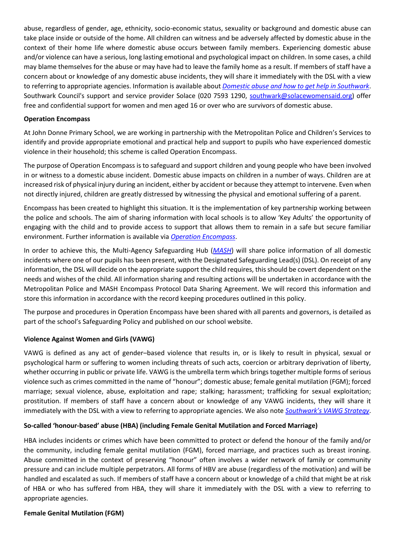abuse, regardless of gender, age, ethnicity, socio-economic status, sexuality or background and domestic abuse can take place inside or outside of the home. All children can witness and be adversely affected by domestic abuse in the context of their home life where domestic abuse occurs between family members. Experiencing domestic abuse and/or violence can have a serious, long lasting emotional and psychological impact on children. In some cases, a child may blame themselves for the abuse or may have had to leave the family home as a result. If members of staff have a concern about or knowledge of any domestic abuse incidents, they will share it immediately with the DSL with a view to referring to appropriate agencies. Information is available about *[Domestic abuse and how to get help in Southwark](https://www.southwark.gov.uk/community-safety/domestic-abuse/if-you-re-experiencing-domestic-abuse/domestic-abuse-and-how-to-get-help)*. Southwark Council's support and service provider Solace (020 7593 1290, [southwark@solacewomensaid.org\)](mailto:southwark@solacewomensaid.org) offer free and confidential support for women and men aged 16 or over who are survivors of domestic abuse.

## **Operation Encompass**

At John Donne Primary School, we are working in partnership with the Metropolitan Police and Children's Services to identify and provide appropriate emotional and practical help and support to pupils who have experienced domestic violence in their household; this scheme is called Operation Encompass.

The purpose of Operation Encompass is to safeguard and support children and young people who have been involved in or witness to a domestic abuse incident. Domestic abuse impacts on children in a number of ways. Children are at increased risk of physical injury during an incident, either by accident or because they attempt to intervene. Even when not directly injured, children are greatly distressed by witnessing the physical and emotional suffering of a parent.

Encompass has been created to highlight this situation. It is the implementation of key partnership working between the police and schools. The aim of sharing information with local schools is to allow 'Key Adults' the opportunity of engaging with the child and to provide access to support that allows them to remain in a safe but secure familiar environment. Further information is available via *[Operation Encompass](https://www.operationencompass.org/)*.

In order to achieve this, the Multi-Agency Safeguarding Hub (*[MASH](https://www.southwark.gov.uk/childcare-and-parenting/children-s-social-care/child-protection/multi-agency-safeguarding-hub-mash)*) will share police information of all domestic incidents where one of our pupils has been present, with the Designated Safeguarding Lead(s) (DSL). On receipt of any information, the DSL will decide on the appropriate support the child requires, this should be covert dependent on the needs and wishes of the child. All information sharing and resulting actions will be undertaken in accordance with the Metropolitan Police and MASH Encompass Protocol Data Sharing Agreement. We will record this information and store this information in accordance with the record keeping procedures outlined in this policy.

The purpose and procedures in Operation Encompass have been shared with all parents and governors, is detailed as part of the school's Safeguarding Policy and published on our school website.

# **Violence Against Women and Girls (VAWG)**

VAWG is defined as any act of gender–based violence that results in, or is likely to result in physical, sexual or psychological harm or suffering to women including threats of such acts, coercion or arbitrary deprivation of liberty, whether occurring in public or private life. VAWG is the umbrella term which brings together multiple forms of serious violence such as crimes committed in the name of "honour"; domestic abuse; female genital mutilation (FGM); forced marriage; sexual violence, abuse, exploitation and rape; stalking; harassment; trafficking for sexual exploitation; prostitution. If members of staff have a concern about or knowledge of any VAWG incidents, they will share it immediately with the DSL with a view to referring to appropriate agencies. We also note *[Southwark's VAWG Strategy](https://www.southwark.gov.uk/community-safety/domestic-abuse/information-for-professionals-about-domestic-abuse/violence-against-women-and-girls-strategy-2019-to-2024)*.

# **So-called 'honour-based' abuse (HBA) (including Female Genital Mutilation and Forced Marriage)**

HBA includes incidents or crimes which have been committed to protect or defend the honour of the family and/or the community, including female genital mutilation (FGM), forced marriage, and practices such as breast ironing. Abuse committed in the context of preserving "honour" often involves a wider network of family or community pressure and can include multiple perpetrators. All forms of HBV are abuse (regardless of the motivation) and will be handled and escalated as such. If members of staff have a concern about or knowledge of a child that might be at risk of HBA or who has suffered from HBA, they will share it immediately with the DSL with a view to referring to appropriate agencies.

#### **Female Genital Mutilation (FGM)**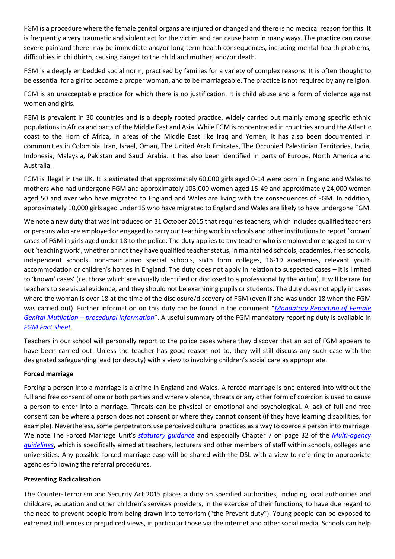FGM is a procedure where the female genital organs are injured or changed and there is no medical reason for this. It is frequently a very traumatic and violent act for the victim and can cause harm in many ways. The practice can cause severe pain and there may be immediate and/or long-term health consequences, including mental health problems, difficulties in childbirth, causing danger to the child and mother; and/or death.

FGM is a deeply embedded social norm, practised by families for a variety of complex reasons. It is often thought to be essential for a girl to become a proper woman, and to be marriageable. The practice is not required by any religion.

FGM is an unacceptable practice for which there is no justification. It is child abuse and a form of violence against women and girls.

FGM is prevalent in 30 countries and is a deeply rooted practice, widely carried out mainly among specific ethnic populations in Africa and parts of the Middle East and Asia. While FGM is concentrated in countries around the Atlantic coast to the Horn of Africa, in areas of the Middle East like Iraq and Yemen, it has also been documented in communities in Colombia, Iran, Israel, Oman, The United Arab Emirates, The Occupied Palestinian Territories, India, Indonesia, Malaysia, Pakistan and Saudi Arabia. It has also been identified in parts of Europe, North America and Australia.

FGM is illegal in the UK. It is estimated that approximately 60,000 girls aged 0-14 were born in England and Wales to mothers who had undergone FGM and approximately 103,000 women aged 15-49 and approximately 24,000 women aged 50 and over who have migrated to England and Wales are living with the consequences of FGM. In addition, approximately 10,000 girls aged under 15 who have migrated to England and Wales are likely to have undergone FGM.

We note a new duty that was introduced on 31 October 2015 that requires teachers, which includes qualified teachers or persons who are employed or engaged to carry out teaching work in schools and other institutions to report 'known' cases of FGM in girls aged under 18 to the police. The duty applies to any teacher who is employed or engaged to carry out 'teaching work', whether or not they have qualified teacher status, in maintained schools, academies, free schools, independent schools, non-maintained special schools, sixth form colleges, 16-19 academies, relevant youth accommodation or children's homes in England. The duty does not apply in relation to suspected cases – it is limited to 'known' cases' (i.e. those which are visually identified or disclosed to a professional by the victim). It will be rare for teachers to see visual evidence, and they should not be examining pupils or students. The duty does not apply in cases where the woman is over 18 at the time of the disclosure/discovery of FGM (even if she was under 18 when the FGM was carried out). Further information on this duty can be found in the document "*[Mandatory Reporting of Female](https://www.gov.uk/government/publications/mandatory-reporting-of-female-genital-mutilation-procedural-information)  Genital Mutilation – [procedural information](https://www.gov.uk/government/publications/mandatory-reporting-of-female-genital-mutilation-procedural-information)*". A useful summary of the FGM mandatory reporting duty is available in *[FGM Fact Sheet](https://assets.publishing.service.gov.uk/government/uploads/system/uploads/attachment_data/file/496415/6_1639_HO_SP_FGM_mandatory_reporting_Fact_sheet_Web.pdf)*.

Teachers in our school will personally report to the police cases where they discover that an act of FGM appears to have been carried out. Unless the teacher has good reason not to, they will still discuss any such case with the designated safeguarding lead (or deputy) with a view to involving children's social care as appropriate.

#### **Forced marriage**

Forcing a person into a marriage is a crime in England and Wales. A forced marriage is one entered into without the full and free consent of one or both parties and where violence, threats or any other form of coercion is used to cause a person to enter into a marriage. Threats can be physical or emotional and psychological. A lack of full and free consent can be where a person does not consent or where they cannot consent (if they have learning disabilities, for example). Nevertheless, some perpetrators use perceived cultural practices as a way to coerce a person into marriage. We note The Forced Marriage Unit's *[statutory guidance](https://www.gov.uk/guidance/forced-marriage)* and especially Chapter 7 on page 32 of the *[Multi-agency](https://assets.publishing.service.gov.uk/government/uploads/system/uploads/attachment_data/file/322307/HMG_MULTI_AGENCY_PRACTICE_GUIDELINES_v1_180614_FINAL.pdf)  [guidelines](https://assets.publishing.service.gov.uk/government/uploads/system/uploads/attachment_data/file/322307/HMG_MULTI_AGENCY_PRACTICE_GUIDELINES_v1_180614_FINAL.pdf)*, which is specifically aimed at teachers, lecturers and other members of staff within schools, colleges and universities. Any possible forced marriage case will be shared with the DSL with a view to referring to appropriate agencies following the referral procedures.

#### **Preventing Radicalisation**

The Counter-Terrorism and Security Act 2015 places a duty on specified authorities, including local authorities and childcare, education and other children's services providers, in the exercise of their functions, to have due regard to the need to prevent people from being drawn into terrorism ("the Prevent duty"). Young people can be exposed to extremist influences or prejudiced views, in particular those via the internet and other social media. Schools can help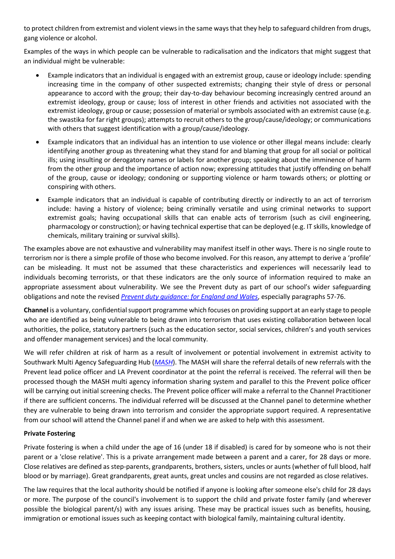to protect children from extremist and violent views in the same ways that they help to safeguard children from drugs, gang violence or alcohol.

Examples of the ways in which people can be vulnerable to radicalisation and the indicators that might suggest that an individual might be vulnerable:

- Example indicators that an individual is engaged with an extremist group, cause or ideology include: spending increasing time in the company of other suspected extremists; changing their style of dress or personal appearance to accord with the group; their day-to-day behaviour becoming increasingly centred around an extremist ideology, group or cause; loss of interest in other friends and activities not associated with the extremist ideology, group or cause; possession of material or symbols associated with an extremist cause (e.g. the swastika for far right groups); attempts to recruit others to the group/cause/ideology; or communications with others that suggest identification with a group/cause/ideology.
- Example indicators that an individual has an intention to use violence or other illegal means include: clearly identifying another group as threatening what they stand for and blaming that group for all social or political ills; using insulting or derogatory names or labels for another group; speaking about the imminence of harm from the other group and the importance of action now; expressing attitudes that justify offending on behalf of the group, cause or ideology; condoning or supporting violence or harm towards others; or plotting or conspiring with others.
- Example indicators that an individual is capable of contributing directly or indirectly to an act of terrorism include: having a history of violence; being criminally versatile and using criminal networks to support extremist goals; having occupational skills that can enable acts of terrorism (such as civil engineering, pharmacology or construction); or having technical expertise that can be deployed (e.g. IT skills, knowledge of chemicals, military training or survival skills).

The examples above are not exhaustive and vulnerability may manifest itself in other ways. There is no single route to terrorism nor is there a simple profile of those who become involved. For this reason, any attempt to derive a 'profile' can be misleading. It must not be assumed that these characteristics and experiences will necessarily lead to individuals becoming terrorists, or that these indicators are the only source of information required to make an appropriate assessment about vulnerability. We see the Prevent duty as part of our school's wider safeguarding obligations and note the revised *[Prevent duty guidance: for England and Wales](https://www.gov.uk/government/publications/prevent-duty-guidance)*, especially paragraphs 57-76.

**Channel** is a voluntary, confidential support programme which focuses on providing support at an early stage to people who are identified as being vulnerable to being drawn into terrorism that uses existing collaboration between local authorities, the police, statutory partners (such as the education sector, social services, children's and youth services and offender management services) and the local community.

We will refer children at risk of harm as a result of involvement or potential involvement in extremist activity to Southwark Multi Agency Safeguarding Hub (*[MASH](https://www.southwark.gov.uk/childcare-and-parenting/children-s-social-care/child-protection/multi-agency-safeguarding-hub-mash)*). The MASH will share the referral details of new referrals with the Prevent lead police officer and LA Prevent coordinator at the point the referral is received. The referral will then be processed though the MASH multi agency information sharing system and parallel to this the Prevent police officer will be carrying out initial screening checks. The Prevent police officer will make a referral to the Channel Practitioner if there are sufficient concerns. The individual referred will be discussed at the Channel panel to determine whether they are vulnerable to being drawn into terrorism and consider the appropriate support required. A representative from our school will attend the Channel panel if and when we are asked to help with this assessment.

# **Private Fostering**

Private fostering is when a child under the age of 16 (under 18 if disabled) is cared for by someone who is not their parent or a 'close relative'. This is a private arrangement made between a parent and a carer, for 28 days or more. Close relatives are defined as step-parents, grandparents, brothers, sisters, uncles or aunts (whether of full blood, half blood or by marriage). Great grandparents, great aunts, great uncles and cousins are not regarded as close relatives.

The law requires that the local authority should be notified if anyone is looking after someone else's child for 28 days or more. The purpose of the council's involvement is to support the child and private foster family (and wherever possible the biological parent/s) with any issues arising. These may be practical issues such as benefits, housing, immigration or emotional issues such as keeping contact with biological family, maintaining cultural identity.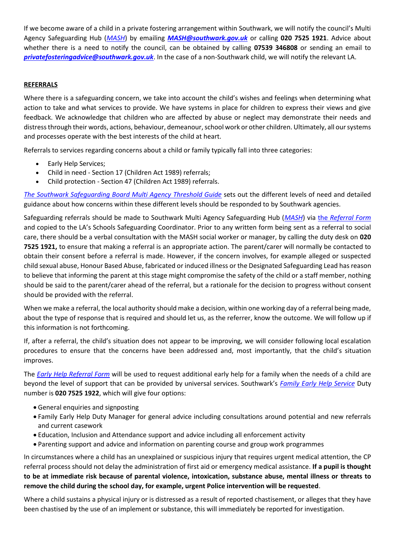If we become aware of a child in a private fostering arrangement within Southwark, we will notify the council's Multi Agency Safeguarding Hub (*[MASH](https://www.southwark.gov.uk/childcare-and-parenting/children-s-social-care/child-protection/multi-agency-safeguarding-hub-mash)*) by emailing *[MASH@southwark.gov.uk](mailto:MASH@southwark.gov.uk)* or calling **020 7525 1921**. Advice about whether there is a need to notify the council, can be obtained by calling **07539 346808** or sending an email to *[privatefosteringadvice@southwark.gov.uk](mailto:privatefosteringadvice@southwark.gov.uk)*. In the case of a non-Southwark child, we will notify the relevant LA.

## **REFERRALS**

Where there is a safeguarding concern, we take into account the child's wishes and feelings when determining what action to take and what services to provide. We have systems in place for children to express their views and give feedback. We acknowledge that children who are affected by abuse or neglect may demonstrate their needs and distress through their words, actions, behaviour, demeanour, school work or other children. Ultimately, all our systems and processes operate with the best interests of the child at heart.

Referrals to services regarding concerns about a child or family typically fall into three categories:

- Early Help Services;
- Child in need Section 17 (Children Act 1989) referrals;
- Child protection Section 47 (Children Act 1989) referrals.

*[The Southwark Safeguarding Board Multi Agency Threshold Guide](https://safeguarding.southwark.gov.uk/assets/files/463/SSCB.THRESHOLD-OF-NEEDS.FINAL.pdf)* sets out the different levels of need and detailed guidance about how concerns within these different levels should be responded to by Southwark agencies.

Safeguarding referrals should be made to Southwark Multi Agency Safeguarding Hub (*[MASH](https://www.southwark.gov.uk/childcare-and-parenting/children-s-social-care/child-protection/multi-agency-safeguarding-hub-mash)*) via the *[Referral Form](https://www.safeguarding.southwark.gov.uk/assets/files/524/updated-multi-agency-referral-form-updated-5.12.19.docx)* and copied to the LA's Schools Safeguarding Coordinator. Prior to any written form being sent as a referral to social care, there should be a verbal consultation with the MASH social worker or manager, by calling the duty desk on **020 7525 1921,** to ensure that making a referral is an appropriate action. The parent/carer will normally be contacted to obtain their consent before a referral is made. However, if the concern involves, for example alleged or suspected child sexual abuse, Honour Based Abuse, fabricated or induced illness or the Designated Safeguarding Lead has reason to believe that informing the parent at this stage might compromise the safety of the child or a staff member, nothing should be said to the parent/carer ahead of the referral, but a rationale for the decision to progress without consent should be provided with the referral.

When we make a referral, the local authority should make a decision, within one working day of a referral being made, about the type of response that is required and should let us, as the referrer, know the outcome. We will follow up if this information is not forthcoming.

If, after a referral, the child's situation does not appear to be improving, we will consider following local escalation procedures to ensure that the concerns have been addressed and, most importantly, that the child's situation improves.

The *[Early Help Referral Form](https://www.southwark.gov.uk/assets/attach/4659/New-Early-Help-Referral-Form-2-1-.docx)* will be used to request additional early help for a family when the needs of a child are beyond the level of support that can be provided by universal services. Southwark's *[Family Early Help Service](https://www.southwark.gov.uk/childcare-and-parenting/children-s-social-care/family-early-help-feh/family-early-help-feh-strategy)* Duty number is **020 7525 1922**, which will give four options:

- General enquiries and signposting
- Family Early Help Duty Manager for general advice including consultations around potential and new referrals and current casework
- Education, Inclusion and Attendance support and advice including all enforcement activity
- Parenting support and advice and information on parenting course and group work programmes

In circumstances where a child has an unexplained or suspicious injury that requires urgent medical attention, the CP referral process should not delay the administration of first aid or emergency medical assistance. **If a pupil is thought to be at immediate risk because of parental violence, intoxication, substance abuse, mental illness or threats to remove the child during the school day, for example, urgent Police intervention will be requested**.

Where a child sustains a physical injury or is distressed as a result of reported chastisement, or alleges that they have been chastised by the use of an implement or substance, this will immediately be reported for investigation.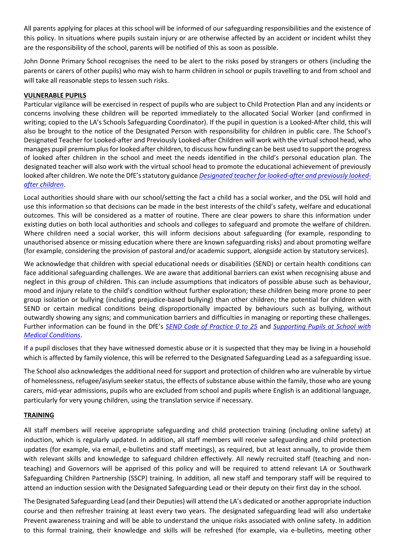All parents applying for places at this school will be informed of our safeguarding responsibilities and the existence of this policy. In situations where pupils sustain injury or are otherwise affected by an accident or incident whilst they are the responsibility of the school, parents will be notified of this as soon as possible.

John Donne Primary School recognises the need to be alert to the risks posed by strangers or others (including the parents or carers of other pupils) who may wish to harm children in school or pupils travelling to and from school and will take all reasonable steps to lessen such risks.

# **VULNERABLE PUPILS**

Particular vigilance will be exercised in respect of pupils who are subject to Child Protection Plan and any incidents or concerns involving these children will be reported immediately to the allocated Social Worker (and confirmed in writing; copied to the LA's Schools Safeguarding Coordinator). If the pupil in question is a Looked-After child, this will also be brought to the notice of the Designated Person with responsibility for children in public care. The School's Designated Teacher for Looked-after and Previously Looked-after Children will work with the virtual school head, who manages pupil premium plus for looked after children, to discuss how funding can be best used to support the progress of looked after children in the school and meet the needs identified in the child's personal education plan. The designated teacher will also work with the virtual school head to promote the educational achievement of previously looked after children. We note the DfE's statutory guidance *[Designated teacher for looked-after and previously looked](https://www.gov.uk/government/publications/designated-teacher-for-looked-after-children)[after children](https://www.gov.uk/government/publications/designated-teacher-for-looked-after-children)*.

Local authorities should share with our school/setting the fact a child has a social worker, and the DSL will hold and use this information so that decisions can be made in the best interests of the child's safety, welfare and educational outcomes. This will be considered as a matter of routine. There are clear powers to share this information under existing duties on both local authorities and schools and colleges to safeguard and promote the welfare of children. Where children need a social worker, this will inform decisions about safeguarding (for example, responding to unauthorised absence or missing education where there are known safeguarding risks) and about promoting welfare (for example, considering the provision of pastoral and/or academic support, alongside action by statutory services).

We acknowledge that children with special educational needs or disabilities (SEND) or certain health conditions can face additional safeguarding challenges. We are aware that additional barriers can exist when recognising abuse and neglect in this group of children. This can include assumptions that indicators of possible abuse such as behaviour, mood and injury relate to the child's condition without further exploration; these children being more prone to peer group isolation or bullying (including prejudice-based bullying) than other children; the potential for children with SEND or certain medical conditions being disproportionally impacted by behaviours such as bullying, without outwardly showing any signs; and communication barriers and difficulties in managing or reporting these challenges. Further information can be found in the DfE's *[SEND Code of Practice 0 to 25](https://www.gov.uk/government/publications/send-code-of-practice-0-to-25)* and *[Supporting Pupils at School with](https://www.gov.uk/government/publications/supporting-pupils-at-school-with-medical-conditions--3)  [Medical Conditions](https://www.gov.uk/government/publications/supporting-pupils-at-school-with-medical-conditions--3)*.

If a pupil discloses that they have witnessed domestic abuse or it is suspected that they may be living in a household which is affected by family violence, this will be referred to the Designated Safeguarding Lead as a safeguarding issue.

The School also acknowledges the additional need for support and protection of children who are vulnerable by virtue of homelessness, refugee/asylum seeker status, the effects of substance abuse within the family, those who are young carers, mid-year admissions, pupils who are excluded from school and pupils where English is an additional language, particularly for very young children, using the translation service if necessary.

# **TRAINING**

All staff members will receive appropriate safeguarding and child protection training (including online safety) at induction, which is regularly updated. In addition, all staff members will receive safeguarding and child protection updates (for example, via email, e-bulletins and staff meetings), as required, but at least annually, to provide them with relevant skills and knowledge to safeguard children effectively. All newly recruited staff (teaching and nonteaching) and Governors will be apprised of this policy and will be required to attend relevant LA or Southwark Safeguarding Children Partnership (SSCP) training. In addition, all new staff and temporary staff will be required to attend an induction session with the Designated Safeguarding Lead or their deputy on their first day in the school.

The Designated Safeguarding Lead (and their Deputies) will attend the LA's dedicated or another appropriate induction course and then refresher training at least every two years. The designated safeguarding lead will also undertake Prevent awareness training and will be able to understand the unique risks associated with online safety. In addition to this formal training, their knowledge and skills will be refreshed (for example, via e-bulletins, meeting other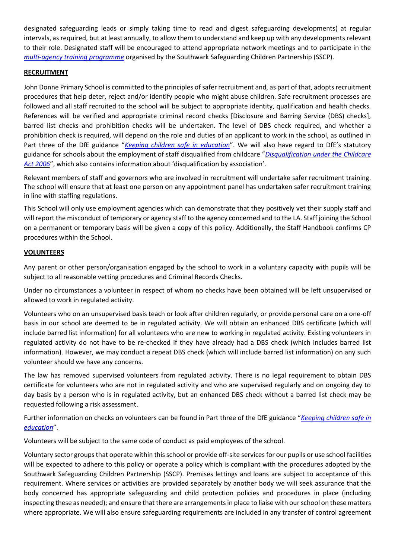designated safeguarding leads or simply taking time to read and digest safeguarding developments) at regular intervals, as required, but at least annually, to allow them to understand and keep up with any developments relevant to their role. Designated staff will be encouraged to attend appropriate network meetings and to participate in the *[multi-agency training programme](http://www.mylearningsource.co.uk/category/safeguarding)* organised by the Southwark Safeguarding Children Partnership (SSCP).

## **RECRUITMENT**

John Donne Primary School is committed to the principles of safer recruitment and, as part of that, adopts recruitment procedures that help deter, reject and/or identify people who might abuse children. Safe recruitment processes are followed and all staff recruited to the school will be subject to appropriate identity, qualification and health checks. References will be verified and appropriate criminal record checks [Disclosure and Barring Service (DBS) checks], barred list checks and prohibition checks will be undertaken. The level of DBS check required, and whether a prohibition check is required, will depend on the role and duties of an applicant to work in the school, as outlined in Part three of the DfE guidance "*[Keeping children safe in education](https://www.gov.uk/government/publications/keeping-children-safe-in-education--2)*". We will also have regard to DfE's statutory guidance for schools about the employment of staff disqualified from childcare "*[Disqualification under the Childcare](https://www.gov.uk/government/publications/disqualification-under-the-childcare-act-2006)  [Act 2006](https://www.gov.uk/government/publications/disqualification-under-the-childcare-act-2006)*", which also contains information about 'disqualification by association'.

Relevant members of staff and governors who are involved in recruitment will undertake safer recruitment training. The school will ensure that at least one person on any appointment panel has undertaken safer recruitment training in line with staffing regulations.

This School will only use employment agencies which can demonstrate that they positively vet their supply staff and will report the misconduct of temporary or agency staff to the agency concerned and to the LA. Staff joining the School on a permanent or temporary basis will be given a copy of this policy. Additionally, the Staff Handbook confirms CP procedures within the School.

## **VOLUNTEERS**

Any parent or other person/organisation engaged by the school to work in a voluntary capacity with pupils will be subject to all reasonable vetting procedures and Criminal Records Checks.

Under no circumstances a volunteer in respect of whom no checks have been obtained will be left unsupervised or allowed to work in regulated activity.

Volunteers who on an unsupervised basis teach or look after children regularly, or provide personal care on a one-off basis in our school are deemed to be in regulated activity. We will obtain an enhanced DBS certificate (which will include barred list information) for all volunteers who are new to working in regulated activity. Existing volunteers in regulated activity do not have to be re-checked if they have already had a DBS check (which includes barred list information). However, we may conduct a repeat DBS check (which will include barred list information) on any such volunteer should we have any concerns.

The law has removed supervised volunteers from regulated activity. There is no legal requirement to obtain DBS certificate for volunteers who are not in regulated activity and who are supervised regularly and on ongoing day to day basis by a person who is in regulated activity, but an enhanced DBS check without a barred list check may be requested following a risk assessment.

Further information on checks on volunteers can be found in Part three of the DfE guidance "*[Keeping children safe in](https://www.gov.uk/government/publications/keeping-children-safe-in-education--2)  [education](https://www.gov.uk/government/publications/keeping-children-safe-in-education--2)*".

Volunteers will be subject to the same code of conduct as paid employees of the school.

Voluntary sector groups that operate within this school or provide off-site services for our pupils or use school facilities will be expected to adhere to this policy or operate a policy which is compliant with the procedures adopted by the Southwark Safeguarding Children Partnership (SSCP). Premises lettings and loans are subject to acceptance of this requirement. Where services or activities are provided separately by another body we will seek assurance that the body concerned has appropriate safeguarding and child protection policies and procedures in place (including inspecting these as needed); and ensure that there are arrangements in place to liaise with our school on these matters where appropriate. We will also ensure safeguarding requirements are included in any transfer of control agreement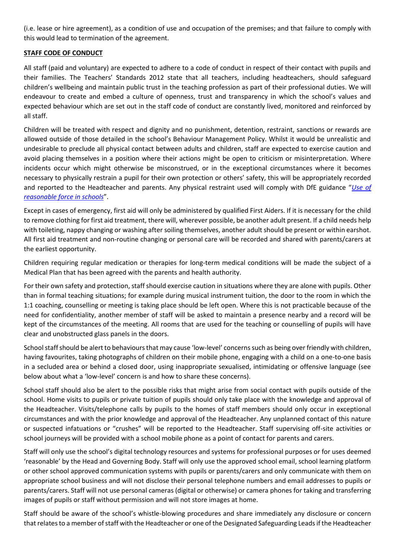(i.e. lease or hire agreement), as a condition of use and occupation of the premises; and that failure to comply with this would lead to termination of the agreement.

# **STAFF CODE OF CONDUCT**

All staff (paid and voluntary) are expected to adhere to a code of conduct in respect of their contact with pupils and their families. The Teachers' Standards 2012 state that all teachers, including headteachers, should safeguard children's wellbeing and maintain public trust in the teaching profession as part of their professional duties. We will endeavour to create and embed a culture of openness, trust and transparency in which the school's values and expected behaviour which are set out in the staff code of conduct are constantly lived, monitored and reinforced by all staff.

Children will be treated with respect and dignity and no punishment, detention, restraint, sanctions or rewards are allowed outside of those detailed in the school's Behaviour Management Policy. Whilst it would be unrealistic and undesirable to preclude all physical contact between adults and children, staff are expected to exercise caution and avoid placing themselves in a position where their actions might be open to criticism or misinterpretation. Where incidents occur which might otherwise be misconstrued, or in the exceptional circumstances where it becomes necessary to physically restrain a pupil for their own protection or others' safety, this will be appropriately recorded and reported to the Headteacher and parents. Any physical restraint used will comply with DfE guidance "*[Use of](https://www.gov.uk/government/publications/use-of-reasonable-force-in-schools)  [reasonable force in schools](https://www.gov.uk/government/publications/use-of-reasonable-force-in-schools)*".

Except in cases of emergency, first aid will only be administered by qualified First Aiders. If it is necessary for the child to remove clothing for first aid treatment, there will, wherever possible, be another adult present. If a child needs help with toileting, nappy changing or washing after soiling themselves, another adult should be present or within earshot. All first aid treatment and non-routine changing or personal care will be recorded and shared with parents/carers at the earliest opportunity.

Children requiring regular medication or therapies for long-term medical conditions will be made the subject of a Medical Plan that has been agreed with the parents and health authority.

For their own safety and protection, staff should exercise caution in situations where they are alone with pupils. Other than in formal teaching situations; for example during musical instrument tuition, the door to the room in which the 1:1 coaching, counselling or meeting is taking place should be left open. Where this is not practicable because of the need for confidentiality, another member of staff will be asked to maintain a presence nearby and a record will be kept of the circumstances of the meeting. All rooms that are used for the teaching or counselling of pupils will have clear and unobstructed glass panels in the doors.

School staff should be alert to behaviours that may cause 'low-level' concerns such as being over friendly with children, having favourites, taking photographs of children on their mobile phone, engaging with a child on a one-to-one basis in a secluded area or behind a closed door, using inappropriate sexualised, intimidating or offensive language (see below about what a 'low-level' concern is and how to share these concerns).

School staff should also be alert to the possible risks that might arise from social contact with pupils outside of the school. Home visits to pupils or private tuition of pupils should only take place with the knowledge and approval of the Headteacher. Visits/telephone calls by pupils to the homes of staff members should only occur in exceptional circumstances and with the prior knowledge and approval of the Headteacher. Any unplanned contact of this nature or suspected infatuations or "crushes" will be reported to the Headteacher. Staff supervising off-site activities or school journeys will be provided with a school mobile phone as a point of contact for parents and carers.

Staff will only use the school's digital technology resources and systems for professional purposes or for uses deemed 'reasonable' by the Head and Governing Body. Staff will only use the approved school email, school learning platform or other school approved communication systems with pupils or parents/carers and only communicate with them on appropriate school business and will not disclose their personal telephone numbers and email addresses to pupils or parents/carers. Staff will not use personal cameras (digital or otherwise) or camera phones for taking and transferring images of pupils or staff without permission and will not store images at home.

Staff should be aware of the school's whistle-blowing procedures and share immediately any disclosure or concern that relates to a member ofstaff with the Headteacher or one of the Designated Safeguarding Leads if the Headteacher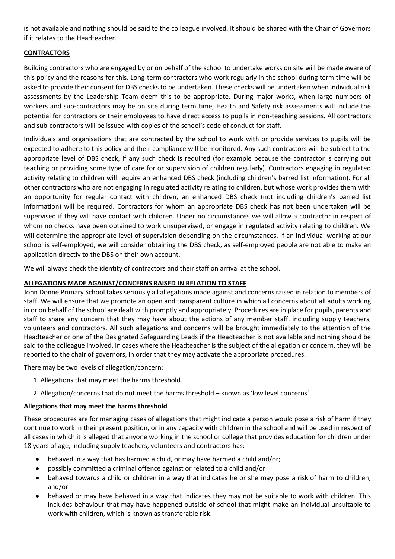is not available and nothing should be said to the colleague involved. It should be shared with the Chair of Governors if it relates to the Headteacher.

# **CONTRACTORS**

Building contractors who are engaged by or on behalf of the school to undertake works on site will be made aware of this policy and the reasons for this. Long-term contractors who work regularly in the school during term time will be asked to provide their consent for DBS checks to be undertaken. These checks will be undertaken when individual risk assessments by the Leadership Team deem this to be appropriate. During major works, when large numbers of workers and sub-contractors may be on site during term time, Health and Safety risk assessments will include the potential for contractors or their employees to have direct access to pupils in non-teaching sessions. All contractors and sub-contractors will be issued with copies of the school's code of conduct for staff.

Individuals and organisations that are contracted by the school to work with or provide services to pupils will be expected to adhere to this policy and their compliance will be monitored. Any such contractors will be subject to the appropriate level of DBS check, if any such check is required (for example because the contractor is carrying out teaching or providing some type of care for or supervision of children regularly). Contractors engaging in regulated activity relating to children will require an enhanced DBS check (including children's barred list information). For all other contractors who are not engaging in regulated activity relating to children, but whose work provides them with an opportunity for regular contact with children, an enhanced DBS check (not including children's barred list information) will be required. Contractors for whom an appropriate DBS check has not been undertaken will be supervised if they will have contact with children. Under no circumstances we will allow a contractor in respect of whom no checks have been obtained to work unsupervised, or engage in regulated activity relating to children. We will determine the appropriate level of supervision depending on the circumstances. If an individual working at our school is self-employed, we will consider obtaining the DBS check, as self-employed people are not able to make an application directly to the DBS on their own account.

We will always check the identity of contractors and their staff on arrival at the school.

## **ALLEGATIONS MADE AGAINST/CONCERNS RAISED IN RELATION TO STAFF**

John Donne Primary School takes seriously all allegations made against and concerns raised in relation to members of staff. We will ensure that we promote an open and transparent culture in which all concerns about all adults working in or on behalf of the school are dealt with promptly and appropriately. Procedures are in place for pupils, parents and staff to share any concern that they may have about the actions of any member staff, including supply teachers, volunteers and contractors. All such allegations and concerns will be brought immediately to the attention of the Headteacher or one of the Designated Safeguarding Leads if the Headteacher is not available and nothing should be said to the colleague involved. In cases where the Headteacher is the subject of the allegation or concern, they will be reported to the chair of governors, in order that they may activate the appropriate procedures.

There may be two levels of allegation/concern:

- 1. Allegations that may meet the harms threshold.
- 2. Allegation/concerns that do not meet the harms threshold known as 'low level concerns'.

#### **Allegations that may meet the harms threshold**

These procedures are for managing cases of allegations that might indicate a person would pose a risk of harm if they continue to work in their present position, or in any capacity with children in the school and will be used in respect of all cases in which it is alleged that anyone working in the school or college that provides education for children under 18 years of age, including supply teachers, volunteers and contractors has:

- behaved in a way that has harmed a child, or may have harmed a child and/or;
- possibly committed a criminal offence against or related to a child and/or
- behaved towards a child or children in a way that indicates he or she may pose a risk of harm to children; and/or
- behaved or may have behaved in a way that indicates they may not be suitable to work with children. This includes behaviour that may have happened outside of school that might make an individual unsuitable to work with children, which is known as transferable risk.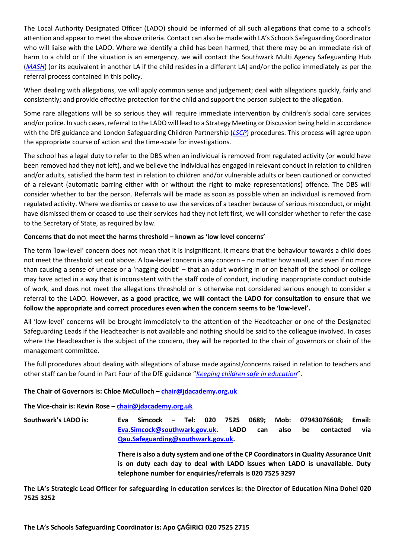The Local Authority Designated Officer (LADO) should be informed of all such allegations that come to a school's attention and appear to meet the above criteria. Contact can also be made with LA's Schools Safeguarding Coordinator who will liaise with the LADO. Where we identify a child has been harmed, that there may be an immediate risk of harm to a child or if the situation is an emergency, we will contact the Southwark Multi Agency Safeguarding Hub (*[MASH](https://www.southwark.gov.uk/childcare-and-parenting/children-s-social-care/child-protection/multi-agency-safeguarding-hub-mash)*) (or its equivalent in another LA if the child resides in a different LA) and/or the police immediately as per the referral process contained in this policy.

When dealing with allegations, we will apply common sense and judgement; deal with allegations quickly, fairly and consistently; and provide effective protection for the child and support the person subject to the allegation.

Some rare allegations will be so serious they will require immediate intervention by children's social care services and/or police. In such cases, referral to the LADO will lead to a Strategy Meeting or Discussion being held in accordance with the DfE guidance and London Safeguarding Children Partnership (*[LSCP](http://www.londonscb.gov.uk/)*) procedures. This process will agree upon the appropriate course of action and the time-scale for investigations.

The school has a legal duty to refer to the DBS when an individual is removed from regulated activity (or would have been removed had they not left), and we believe the individual has engaged in relevant conduct in relation to children and/or adults, satisfied the harm test in relation to children and/or vulnerable adults or been cautioned or convicted of a relevant (automatic barring either with or without the right to make representations) offence. The DBS will consider whether to bar the person. Referrals will be made as soon as possible when an individual is removed from regulated activity. Where we dismiss or cease to use the services of a teacher because of serious misconduct, or might have dismissed them or ceased to use their services had they not left first, we will consider whether to refer the case to the Secretary of State, as required by law.

## **Concerns that do not meet the harms threshold – known as 'low level concerns'**

The term 'low-level' concern does not mean that it is insignificant. It means that the behaviour towards a child does not meet the threshold set out above. A low-level concern is any concern – no matter how small, and even if no more than causing a sense of unease or a 'nagging doubt' – that an adult working in or on behalf of the school or college may have acted in a way that is inconsistent with the staff code of conduct, including inappropriate conduct outside of work, and does not meet the allegations threshold or is otherwise not considered serious enough to consider a referral to the LADO. **However, as a good practice, we will contact the LADO for consultation to ensure that we follow the appropriate and correct procedures even when the concern seems to be 'low-level'.**

All 'low-level' concerns will be brought immediately to the attention of the Headteacher or one of the Designated Safeguarding Leads if the Headteacher is not available and nothing should be said to the colleague involved. In cases where the Headteacher is the subject of the concern, they will be reported to the chair of governors or chair of the management committee.

The full procedures about dealing with allegations of abuse made against/concerns raised in relation to teachers and other staff can be found in Part Four of the DfE guidance "*[Keeping children safe in education](https://www.gov.uk/government/publications/keeping-children-safe-in-education--2)*".

#### **The Chair of Governors is: Chloe McCulloch – [chair@jdacademy.org.uk](mailto:chair@jdacademy.org.uk)**

**The Vice-chair is: Kevin Rose – [chair@jdacademy.org.uk](mailto:chair@jdacademy.org.uk)**

**Southwark's LADO is: Eva Simcock – Tel: 020 7525 0689; Mob: 07943076608; Email: [Eva.Simcock@southwark.gov.uk.](mailto:Eva.Simcock@southwark.gov.uk) LADO can also be contacted via [Qau.Safeguarding@southwark.gov.uk.](mailto:Qau.Safeguarding@southwark.gov.uk)**

> **There is also a duty system and one of the CP Coordinators in Quality Assurance Unit is on duty each day to deal with LADO issues when LADO is unavailable. Duty telephone number for enquiries/referrals is 020 7525 3297**

**The LA's Strategic Lead Officer for safeguarding in education services is: the Director of Education Nina Dohel 020 7525 3252**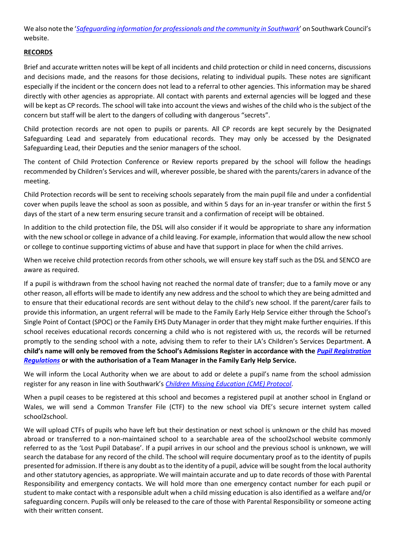We also note the '*[Safeguarding information for professionals and the community in Southwark](http://safeguarding.southwark.gov.uk/)*' on Southwark Council's website.

# **RECORDS**

Brief and accurate written notes will be kept of all incidents and child protection or child in need concerns, discussions and decisions made, and the reasons for those decisions, relating to individual pupils. These notes are significant especially if the incident or the concern does not lead to a referral to other agencies. This information may be shared directly with other agencies as appropriate. All contact with parents and external agencies will be logged and these will be kept as CP records. The school will take into account the views and wishes of the child who is the subject of the concern but staff will be alert to the dangers of colluding with dangerous "secrets".

Child protection records are not open to pupils or parents. All CP records are kept securely by the Designated Safeguarding Lead and separately from educational records. They may only be accessed by the Designated Safeguarding Lead, their Deputies and the senior managers of the school.

The content of Child Protection Conference or Review reports prepared by the school will follow the headings recommended by Children's Services and will, wherever possible, be shared with the parents/carers in advance of the meeting.

Child Protection records will be sent to receiving schools separately from the main pupil file and under a confidential cover when pupils leave the school as soon as possible, and within 5 days for an in-year transfer or within the first 5 days of the start of a new term ensuring secure transit and a confirmation of receipt will be obtained.

In addition to the child protection file, the DSL will also consider if it would be appropriate to share any information with the new school or college in advance of a child leaving. For example, information that would allow the new school or college to continue supporting victims of abuse and have that support in place for when the child arrives.

When we receive child protection records from other schools, we will ensure key staff such as the DSL and SENCO are aware as required.

If a pupil is withdrawn from the school having not reached the normal date of transfer; due to a family move or any other reason, all efforts will be made to identify any new address and the school to which they are being admitted and to ensure that their educational records are sent without delay to the child's new school. If the parent/carer fails to provide this information, an urgent referral will be made to the Family Early Help Service either through the School's Single Point of Contact (SPOC) or the Family EHS Duty Manager in order that they might make further enquiries. If this school receives educational records concerning a child who is not registered with us, the records will be returned promptly to the sending school with a note, advising them to refer to their LA's Children's Services Department. **A child's name will only be removed from the School's Admissions Register in accordance with the** *[Pupil Registration](https://www.gov.uk/government/publications/school-attendance)  [Regulations](https://www.gov.uk/government/publications/school-attendance)* **or with the authorisation of a Team Manager in the Family Early Help Service.**

We will inform the Local Authority when we are about to add or delete a pupil's name from the school admission register for any reason in line with Southwark's *[Children Missing Education \(CME\) Protocol](https://safeguarding.southwark.gov.uk/assets/files/434/CME-protocol-Feb-17.pdf)*.

When a pupil ceases to be registered at this school and becomes a registered pupil at another school in England or Wales, we will send a Common Transfer File (CTF) to the new school via DfE's secure internet system called school2school.

We will upload CTFs of pupils who have left but their destination or next school is unknown or the child has moved abroad or transferred to a non-maintained school to a searchable area of the school2school website commonly referred to as the 'Lost Pupil Database'. If a pupil arrives in our school and the previous school is unknown, we will search the database for any record of the child. The school will require documentary proof as to the identity of pupils presented for admission. If there is any doubt as to the identity of a pupil, advice will be sought from the local authority and other statutory agencies, as appropriate. We will maintain accurate and up to date records of those with Parental Responsibility and emergency contacts. We will hold more than one emergency contact number for each pupil or student to make contact with a responsible adult when a child missing education is also identified as a welfare and/or safeguarding concern. Pupils will only be released to the care of those with Parental Responsibility or someone acting with their written consent.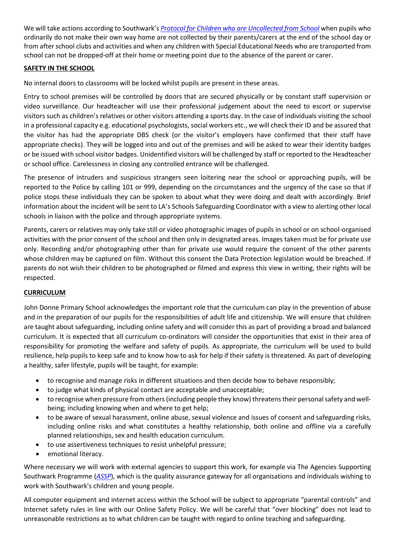We will take actions according to Southwark's *[Protocol for Children who are Uncollected from School](https://southwark.proceduresonline.com/chapters/pr_child_not_collect_school.htm)* when pupils who ordinarily do not make their own way home are not collected by their parents/carers at the end of the school day or from after school clubs and activities and when any children with Special Educational Needs who are transported from school can not be dropped-off at their home or meeting point due to the absence of the parent or carer.

# **SAFETY IN THE SCHOOL**

No internal doors to classrooms will be locked whilst pupils are present in these areas.

Entry to school premises will be controlled by doors that are secured physically or by constant staff supervision or video surveillance. Our headteacher will use their professional judgement about the need to escort or supervise visitors such as children's relatives or other visitors attending a sports day. In the case of individuals visiting the school in a professional capacity e.g. educational psychologists, social workers etc., we will check their ID and be assured that the visitor has had the appropriate DBS check (or the visitor's employers have confirmed that their staff have appropriate checks). They will be logged into and out of the premises and will be asked to wear their identity badges or be issued with school visitor badges. Unidentified visitors will be challenged by staff or reported to the Headteacher or school office. Carelessness in closing any controlled entrance will be challenged.

The presence of intruders and suspicious strangers seen loitering near the school or approaching pupils, will be reported to the Police by calling 101 or 999, depending on the circumstances and the urgency of the case so that if police stops these individuals they can be spoken to about what they were doing and dealt with accordingly. Brief information about the incident will be sent to LA's Schools Safeguarding Coordinator with a view to alerting other local schools in liaison with the police and through appropriate systems.

Parents, carers or relatives may only take still or video photographic images of pupils in school or on school-organised activities with the prior consent of the school and then only in designated areas. Images taken must be for private use only. Recording and/or photographing other than for private use would require the consent of the other parents whose children may be captured on film. Without this consent the Data Protection legislation would be breached. If parents do not wish their children to be photographed or filmed and express this view in writing, their rights will be respected.

# **CURRICULUM**

John Donne Primary School acknowledges the important role that the curriculum can play in the prevention of abuse and in the preparation of our pupils for the responsibilities of adult life and citizenship. We will ensure that children are taught about safeguarding, including online safety and will consider this as part of providing a broad and balanced curriculum. It is expected that all curriculum co-ordinators will consider the opportunities that exist in their area of responsibility for promoting the welfare and safety of pupils. As appropriate, the curriculum will be used to build resilience, help pupils to keep safe and to know how to ask for help if their safety is threatened. As part of developing a healthy, safer lifestyle, pupils will be taught, for example:

- to recognise and manage risks in different situations and then decide how to behave responsibly;
- to judge what kinds of physical contact are acceptable and unacceptable;
- to recognise when pressure from others (including people they know) threatens their personal safety and wellbeing; including knowing when and where to get help;
- to be aware of sexual harassment, online abuse, sexual violence and issues of consent and safeguarding risks, including online risks and what constitutes a healthy relationship, both online and offline via a carefully planned relationships, sex and health education curriculum.
- to use assertiveness techniques to resist unhelpful pressure;
- emotional literacy.

Where necessary we will work with external agencies to support this work, for example via The Agencies Supporting Southwark Programme (*[ASSP](https://www.southwark.gov.uk/childcare-and-parenting/children-s-social-care/child-protection/agencies-supporting-southwark-programme-assp)*), which is the quality assurance gateway for all organisations and individuals wishing to work with Southwark's children and young people.

All computer equipment and internet access within the School will be subject to appropriate "parental controls" and Internet safety rules in line with our Online Safety Policy. We will be careful that "over blocking" does not lead to unreasonable restrictions as to what children can be taught with regard to online teaching and safeguarding.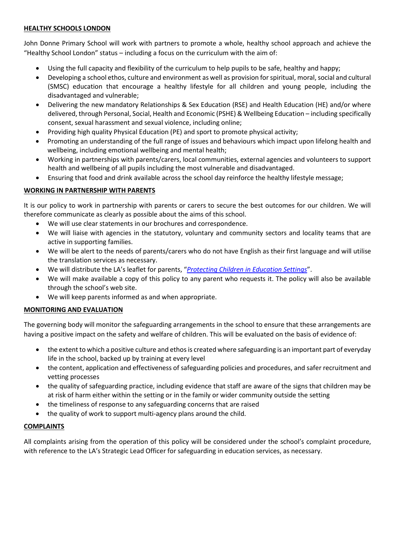## **HEALTHY SCHOOLS LONDON**

John Donne Primary School will work with partners to promote a whole, healthy school approach and achieve the "Healthy School London" status – including a focus on the curriculum with the aim of:

- Using the full capacity and flexibility of the curriculum to help pupils to be safe, healthy and happy;
- Developing a school ethos, culture and environment as well as provision for spiritual, moral, social and cultural (SMSC) education that encourage a healthy lifestyle for all children and young people, including the disadvantaged and vulnerable;
- Delivering the new mandatory Relationships & Sex Education (RSE) and Health Education (HE) and/or where delivered, through Personal, Social, Health and Economic (PSHE) & Wellbeing Education – including specifically consent, sexual harassment and sexual violence, including online;
- Providing high quality Physical Education (PE) and sport to promote physical activity;
- Promoting an understanding of the full range of issues and behaviours which impact upon lifelong health and wellbeing, including emotional wellbeing and mental health;
- Working in partnerships with parents/carers, local communities, external agencies and volunteers to support health and wellbeing of all pupils including the most vulnerable and disadvantaged.
- Ensuring that food and drink available across the school day reinforce the healthy lifestyle message;

## **WORKING IN PARTNERSHIP WITH PARENTS**

It is our policy to work in partnership with parents or carers to secure the best outcomes for our children. We will therefore communicate as clearly as possible about the aims of this school.

- We will use clear statements in our brochures and correspondence.
- We will liaise with agencies in the statutory, voluntary and community sectors and locality teams that are active in supporting families.
- We will be alert to the needs of parents/carers who do not have English as their first language and will utilise the translation services as necessary.
- We will distribute the LA's leaflet for parents, "*[Protecting Children in Education Settings](https://schools.southwark.gov.uk/assets/attach/4636/Protecting-children-in-education-settings-2018.pdf)*".
- We will make available a copy of this policy to any parent who requests it. The policy will also be available through the school's web site.
- We will keep parents informed as and when appropriate.

#### **MONITORING AND EVALUATION**

The governing body will monitor the safeguarding arrangements in the school to ensure that these arrangements are having a positive impact on the safety and welfare of children. This will be evaluated on the basis of evidence of:

- the extent to which a positive culture and ethos is created where safeguarding is an important part of everyday life in the school, backed up by training at every level
- the content, application and effectiveness of safeguarding policies and procedures, and safer recruitment and vetting processes
- the quality of safeguarding practice, including evidence that staff are aware of the signs that children may be at risk of harm either within the setting or in the family or wider community outside the setting
- the timeliness of response to any safeguarding concerns that are raised
- the quality of work to support multi-agency plans around the child.

#### **COMPLAINTS**

All complaints arising from the operation of this policy will be considered under the school's complaint procedure, with reference to the LA's Strategic Lead Officer for safeguarding in education services, as necessary.